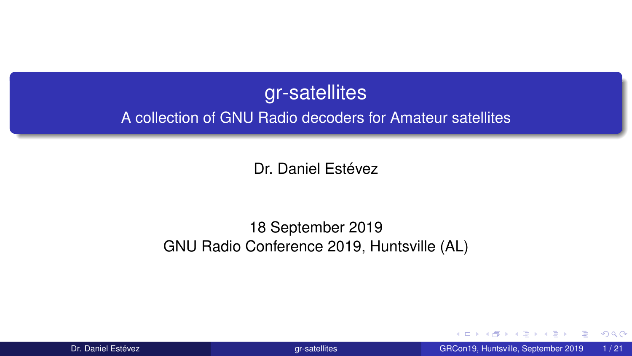### gr-satellites

<span id="page-0-0"></span>A collection of GNU Radio decoders for Amateur satellites

Dr. Daniel Estévez

#### 18 September 2019 GNU Radio Conference 2019, Huntsville (AL)

 $\triangleright$   $\prec$   $\exists$   $\triangleright$   $\prec$   $\exists$ Dr. Daniel Estévez **[gr-satellites](#page-20-0)** GRCon19, Huntsville, September 2019 1/21

4 0 8 4

 $299$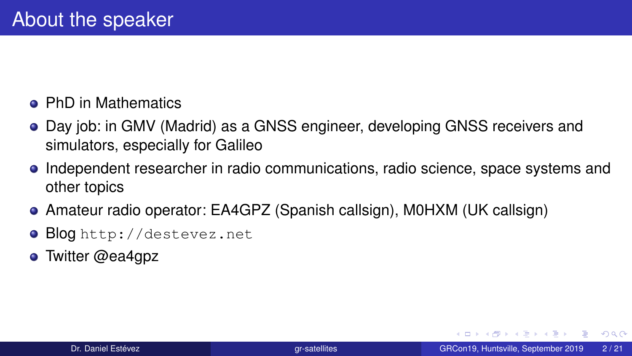- **PhD in Mathematics**
- Day job: in GMV (Madrid) as a GNSS engineer, developing GNSS receivers and simulators, especially for Galileo
- Independent researcher in radio communications, radio science, space systems and other topics
- Amateur radio operator: EA4GPZ (Spanish callsign), M0HXM (UK callsign)
- **· Blog** <http://destevez.net>
- **o** Twitter @ea4gpz

GB 11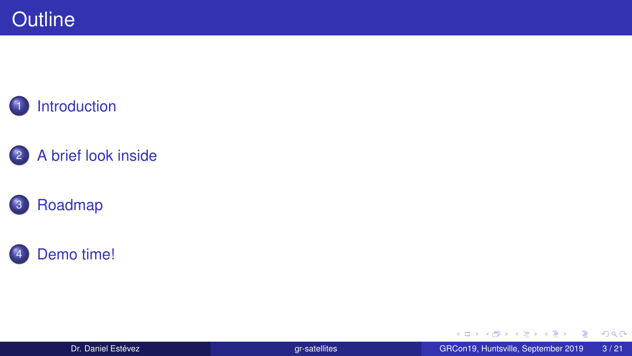









Dr. Daniel Estévez **grande Grande de La Connection de La Connection** GRCon19, Huntsville, September 2019 3/21

メロトメ 御 トメ ミトメ ミト

 $2990$ 

■■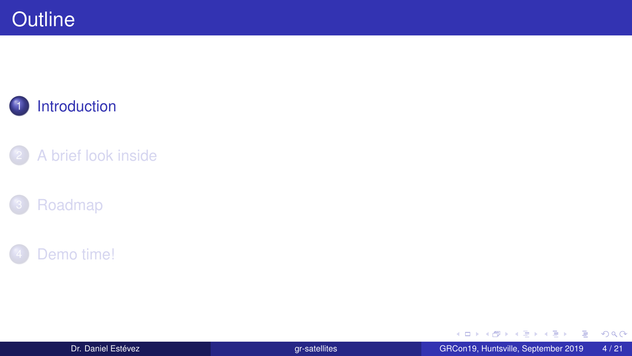<span id="page-3-0"></span>



- 2 [A brief look inside](#page-8-0)
- **[Roadmap](#page-17-0)**



重

 $299$ 

イロト イ部 トイヨ トイヨト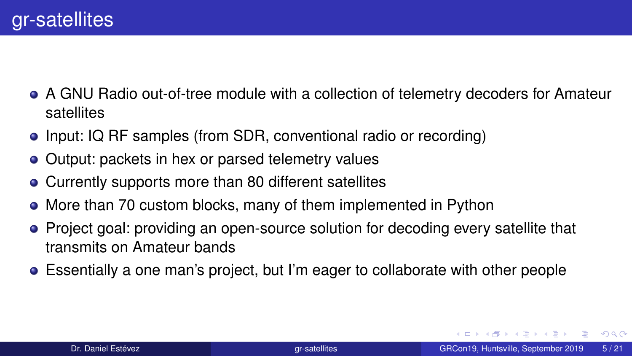- A GNU Radio out-of-tree module with a collection of telemetry decoders for Amateur satellites
- Input: IQ RF samples (from SDR, conventional radio or recording)
- Output: packets in hex or parsed telemetry values
- Currently supports more than 80 different satellites
- More than 70 custom blocks, many of them implemented in Python
- Project goal: providing an open-source solution for decoding every satellite that transmits on Amateur bands
- Essentially a one man's project, but I'm eager to collaborate with other people

GB 11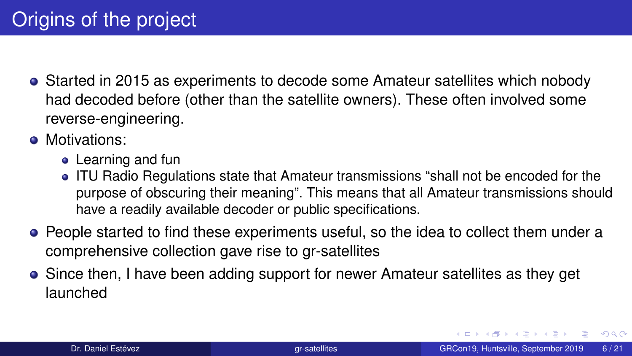- Started in 2015 as experiments to decode some Amateur satellites which nobody had decoded before (other than the satellite owners). These often involved some reverse-engineering.
- **Motivations:** 
	- Learning and fun
	- ITU Radio Regulations state that Amateur transmissions "shall not be encoded for the purpose of obscuring their meaning". This means that all Amateur transmissions should have a readily available decoder or public specifications.
- People started to find these experiments useful, so the idea to collect them under a comprehensive collection gave rise to gr-satellites
- Since then, I have been adding support for newer Amateur satellites as they get launched

 $QQQ$ 

DB.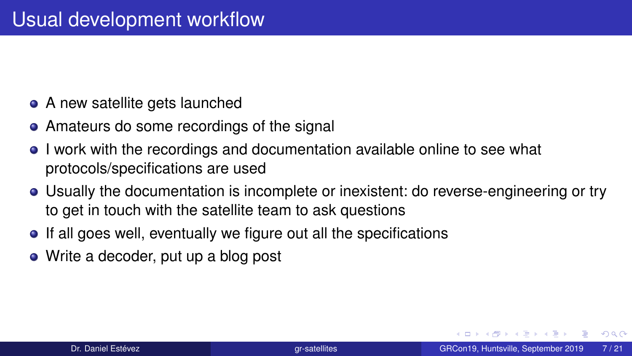- A new satellite gets launched
- Amateurs do some recordings of the signal
- I work with the recordings and documentation available online to see what protocols/specifications are used
- Usually the documentation is incomplete or inexistent: do reverse-engineering or try to get in touch with the satellite team to ask questions
- If all goes well, eventually we figure out all the specifications
- Write a decoder, put up a blog post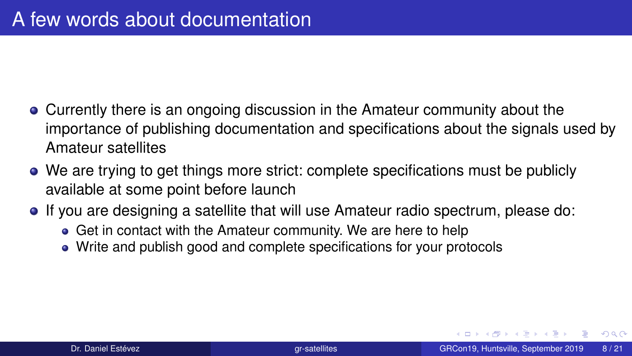- Currently there is an ongoing discussion in the Amateur community about the importance of publishing documentation and specifications about the signals used by Amateur satellites
- We are trying to get things more strict: complete specifications must be publicly available at some point before launch
- If you are designing a satellite that will use Amateur radio spectrum, please do:
	- Get in contact with the Amateur community. We are here to help
	- Write and publish good and complete specifications for your protocols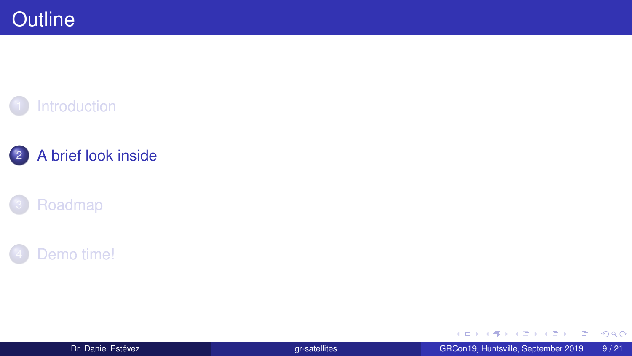<span id="page-8-0"></span>



### 2 [A brief look inside](#page-8-0)

### **[Roadmap](#page-17-0)**



Dr. Daniel Estévez GRCon19, Huntsville, September 2019 9/21

重

 $299$ 

イロト イ部 トイヨ トイヨト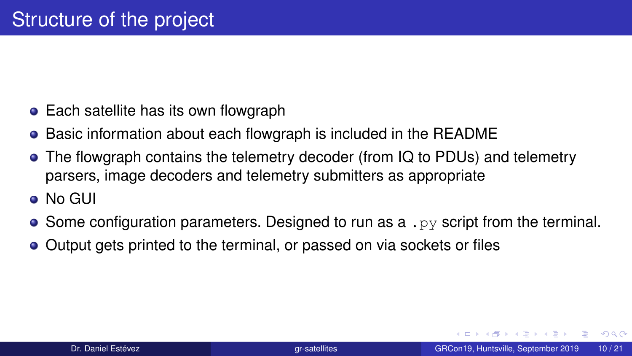- Each satellite has its own flowgraph
- Basic information about each flowgraph is included in the README
- The flowgraph contains the telemetry decoder (from IQ to PDUs) and telemetry parsers, image decoders and telemetry submitters as appropriate
- No GUI
- Some configuration parameters. Designed to run as a .  $p_y$  script from the terminal.
- Output gets printed to the terminal, or passed on via sockets or files

ドメラドメラドー

GB 11  $\Omega$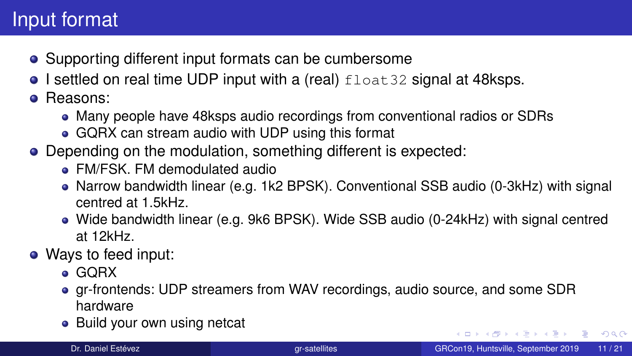# Input format

- Supporting different input formats can be cumbersome
- $\bullet$  I settled on real time UDP input with a (real)  $float32$  signal at 48ksps.
- **Reasons:** 
	- Many people have 48ksps audio recordings from conventional radios or SDRs
	- GQRX can stream audio with UDP using this format
- Depending on the modulation, something different is expected:
	- FM/FSK. FM demodulated audio
	- Narrow bandwidth linear (e.g. 1k2 BPSK). Conventional SSB audio (0-3kHz) with signal centred at 1.5kHz.
	- Wide bandwidth linear (e.g. 9k6 BPSK). Wide SSB audio (0-24kHz) with signal centred at 12kHz.
- Ways to feed input:
	- **GORX**
	- gr-frontends: UDP streamers from WAV recordings, audio source, and some SDR hardware
	- Build your own using netcat

**KOD KAP KED KED E VAN**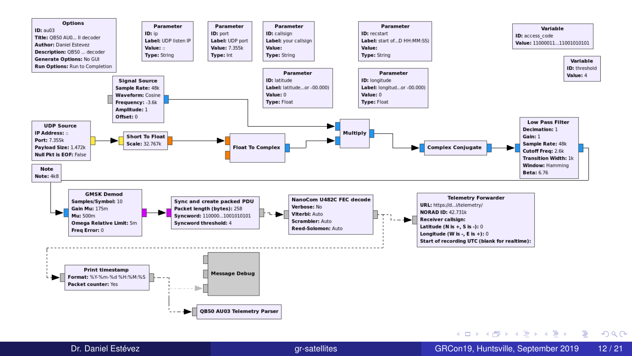

Dr. Daniel Estévez [gr-satellites](#page-0-0) GRCon19, Huntsville, September 2019 12 / 21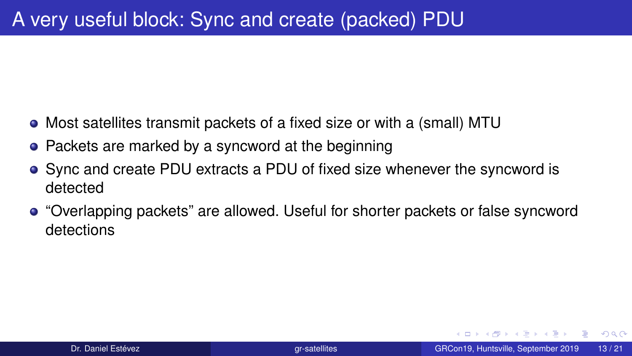- Most satellites transmit packets of a fixed size or with a (small) MTU
- Packets are marked by a syncword at the beginning
- Sync and create PDU extracts a PDU of fixed size whenever the syncword is detected
- "Overlapping packets" are allowed. Useful for shorter packets or false syncword detections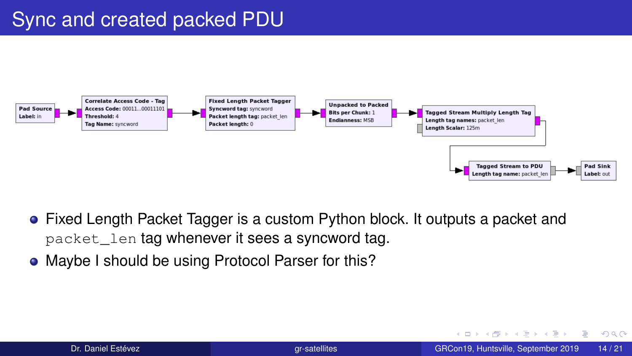

- Fixed Length Packet Tagger is a custom Python block. It outputs a packet and packet\_len tag whenever it sees a syncword tag.
- Maybe I should be using Protocol Parser for this?

э  $\Omega$ 

イロト イ母 トイヨ トイヨト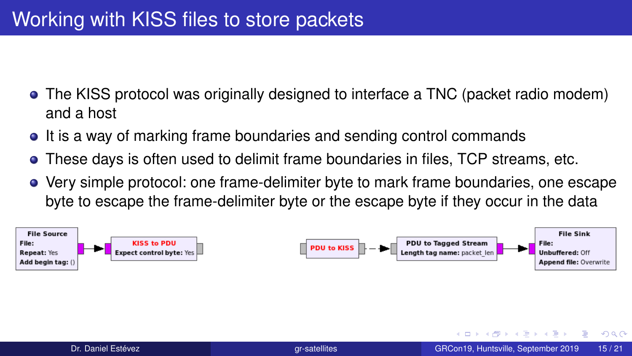- The KISS protocol was originally designed to interface a TNC (packet radio modem) and a host
- It is a way of marking frame boundaries and sending control commands
- These days is often used to delimit frame boundaries in files, TCP streams, etc.
- Very simple protocol: one frame-delimiter byte to mark frame boundaries, one escape byte to escape the frame-delimiter byte or the escape byte if they occur in the data



 $\Omega$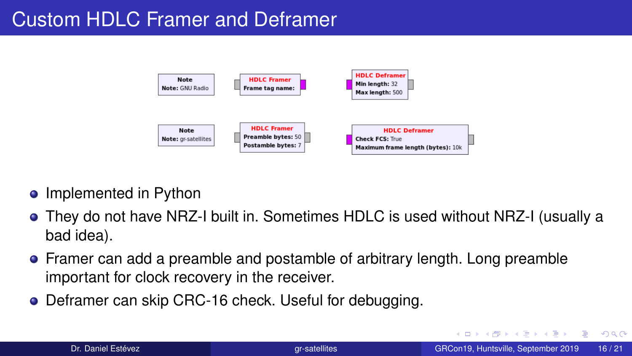# Custom HDLC Framer and Deframer



- Implemented in Python
- They do not have NRZ-I built in. Sometimes HDLC is used without NRZ-I (usually a bad idea).
- Framer can add a preamble and postamble of arbitrary length. Long preamble important for clock recovery in the receiver.
- Deframer can skip CRC-16 check. Useful for debugging.

 $4.17.3.4$ 

э  $\Omega$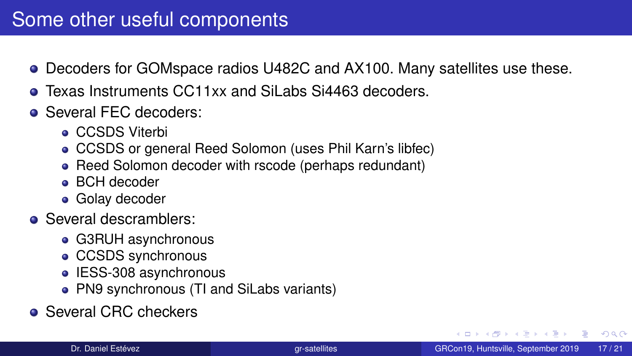- Decoders for GOMspace radios U482C and AX100. Many satellites use these.
- **Texas Instruments CC11xx and SiLabs Si4463 decoders.**
- **Several FEC decoders:** 
	- **CCSDS Viterbi**
	- CCSDS or general Reed Solomon (uses Phil Karn's libfec)
	- Reed Solomon decoder with rscode (perhaps redundant)
	- BCH decoder
	- **Golay decoder**
- Several descramblers:
	- G3RUH asynchronous
	- CCSDS synchronous
	- IESS-308 asynchronous
	- PN9 synchronous (TI and SiLabs variants)
- Several CRC checkers

GB 11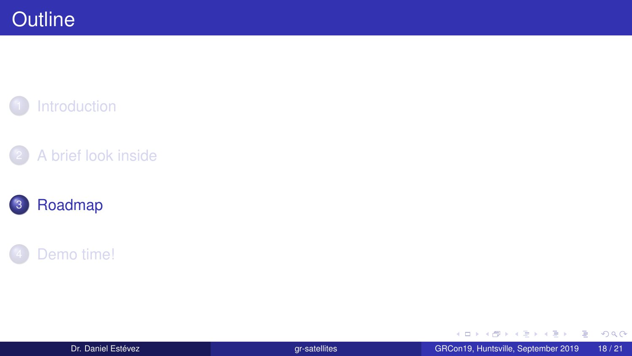<span id="page-17-0"></span>









Dr. Daniel Estévez GRCon19, Huntsville, September 2019 18/21

重  $2990$ 

メロトメ 伊 トメ ミトメ ミト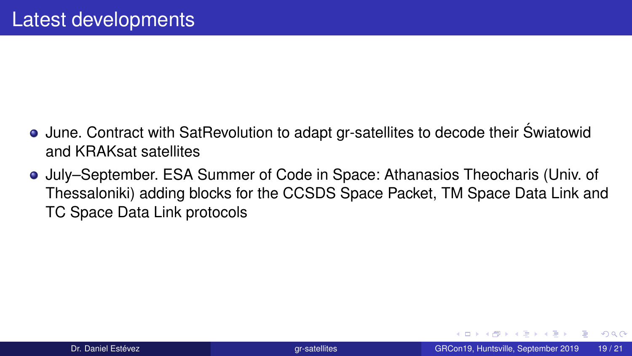- June. Contract with SatRevolution to adapt gr-satellites to decode their Swiatowid ´ and KRAKsat satellites
- July–September. ESA Summer of Code in Space: Athanasios Theocharis (Univ. of Thessaloniki) adding blocks for the CCSDS Space Packet, TM Space Data Link and TC Space Data Link protocols

医尿囊的

GH.  $QQ$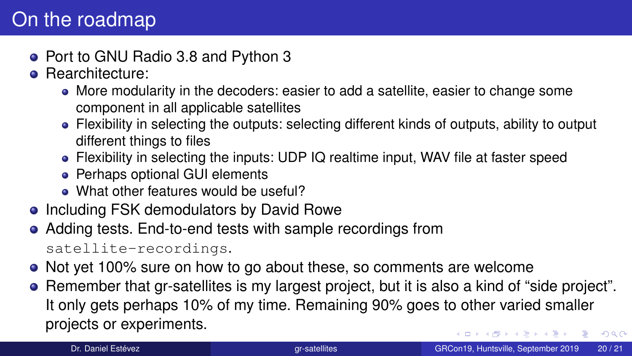## On the roadmap

- Port to GNU Radio 3.8 and Python 3
- **e** Rearchitecture:
	- More modularity in the decoders: easier to add a satellite, easier to change some component in all applicable satellites
	- Flexibility in selecting the outputs: selecting different kinds of outputs, ability to output different things to files
	- Flexibility in selecting the inputs: UDP IQ realtime input, WAV file at faster speed
	- Perhaps optional GUI elements
	- What other features would be useful?
- Including FSK demodulators by David Rowe
- Adding tests. End-to-end tests with sample recordings from satellite-recordings.
- Not yet 100% sure on how to go about these, so comments are welcome
- Remember that gr-satellites is my largest project, but it is also a kind of "side project". It only gets perhaps 10% of my time. Remaining 90% goes to other varied smaller projects or experiments.  $AP + 4B + 4B + 1B$   $QQ$